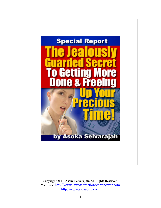

**Copyright 2011. Asoka Selvarajah. All Rights Reserved**. **Websites**: [http://www.lawofattractionsecretpower.com](http://www.lawofattractionsecretpower.com/) [http://www.aksworld.com](http://www.aksworld.com/)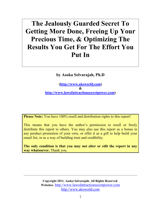# **The Jealously Guarded Secret To Getting More Done, Freeing Up Your Precious Time, & Optimizing The Results You Get For The Effort You Put In**

**by Asoka Selvarajah, Ph.D**

**[\(http://www.aksworld.com\)](http://www.aksworld.com/) & [http://www.lawofattractionsecretpower.com\)](http://www.lawofattractionsecretpower.com/)**

**Please Note:** You have 100% resell and distribution rights to this report!

This means that you have the author's permission to resell or freely distribute this report to others. You may also use this report as a bonus in any product promotion of your own, or offer it as a gift to help build your email list, or as a way of building trust and credibility.

**The only condition is that you may not alter or edit the report in any way whatsoever.** Thank you.

> **Copyright 2011. Asoka Selvarajah. All Rights Reserved**. **Websites**: [http://www.lawofattractionsecretpower.com](http://www.lawofattractionsecretpower.com/) [http://www.aksworld.com](http://www.aksworld.com/)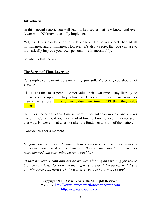## **Introduction**

In this special report, you will learn a key secret that few know, and even fewer who DO know it actually implement.

Yet, its effects can be enormous. It's one of the power secrets behind all millionaires, and billionaires. However, it's also a secret that you can use to dramatically improve your own personal life immeasurably.

So what is this secret?....

# **The Secret of Time Leverage**

Put simply, **you cannot do everything yourself**. Moreover, you should not even try.

The fact is that most people do not value their own time. They literally do not set a value upon it. They behave as if they are immortal, and squander their time terribly. In fact, they value their time LESS than they value money.

However, the truth is that time is more important than money, and always has been. Certainly, if you have a lot of time, but no money, it may not seem that way. However, that does not alter the fundamental truth of the matter.

Consider this for a moment…

*Imagine you are on your deathbed. Your loved ones are around you, and you are saying precious things to them, and they to you. Your breath becomes more labored and everything starts to get blurry.* 

*At that moment, Death appears above you, gloating and waiting for you to breathe your last. However, he then offers you a deal. He agrees that if you pay him some cold hard cash, he will give you one hour more of life!.* 

\_\_\_\_\_\_\_\_\_\_\_\_\_\_\_\_\_\_\_\_\_\_\_\_\_\_\_\_\_\_\_\_\_\_\_\_\_\_\_\_\_\_\_\_\_\_\_\_\_\_\_\_\_\_\_\_\_\_\_\_\_\_\_\_\_\_\_\_\_\_\_\_

**Copyright 2011. Asoka Selvarajah. All Rights Reserved**. **Websites**: [http://www.lawofattractionsecretpower.com](http://www.lawofattractionsecretpower.com/) [http://www.aksworld.com](http://www.aksworld.com/)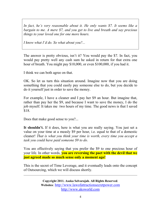*In fact, he's very reasonable about it. He only wants \$7. It seems like a bargain to me. A mere \$7, and you get to live and breath and say precious things to your loved one for one more hours.*

*I know what I'd do. So what about you?...*

The answer is pretty obvious, isn't it? You would pay the \$7. In fact, you would pay pretty well any cash sum he asked in return for that extra one hour of breath. You might pay \$10,000, or even \$100,000, if you had it.

I think we can both agree on that.

OK. So let us turn this situation around. Imagine now that you are doing something that you could easily pay someone else to do, but you decide to do it yourself just in order to save the money.

For example, I have a cleaner and I pay her \$9 an hour. But imagine that, rather than pay her the \$9, and because I want to save the money, I do the job myself. It takes me two hours of my time. The good news is that I saved \$18.

Does that make good sense to you?...

It shouldn't. If it does, here is what you are really saying. You just set a value on your time at a measly \$9 per hour, i.e. equal to that of a domestic cleaner! *That is what you think your time is worth, every time you accept a task you could have paid someone \$9 to do.*

You are effectively saying that you prefer the \$9 to one precious hour of your life. In other words, **you are reversing the pact with the devil that we just agreed made so much sense only a moment ago!**

This is the secret of Time Leverage, and it eventually leads onto the concept of Outsourcing, which we will discuss shortly.

\_\_\_\_\_\_\_\_\_\_\_\_\_\_\_\_\_\_\_\_\_\_\_\_\_\_\_\_\_\_\_\_\_\_\_\_\_\_\_\_\_\_\_\_\_\_\_\_\_\_\_\_\_\_\_\_\_\_\_\_\_\_\_\_\_\_\_\_\_\_\_\_

**Copyright 2011. Asoka Selvarajah. All Rights Reserved**. **Websites**: [http://www.lawofattractionsecretpower.com](http://www.lawofattractionsecretpower.com/) [http://www.aksworld.com](http://www.aksworld.com/)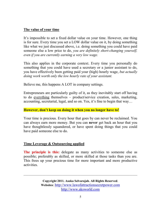## **The value of your time**

It's impossible to set a fixed dollar value on your time. However, one thing is for sure. Every time you set a LOW dollar value on it, by doing something like what we just discussed above, i.e. doing something you could have paid someone else a low price to do, *you are definitely short-changing yourself, even if you are currently earning a very low wage.*

This also applies in the corporate context. Every time you personally do something that you could have used a secretary or a junior assistant to do, you have effectively been getting paid your (high) hourly wage, *but actually doing work worth only the low hourly rate of your assistant.*

Believe me, this happens A LOT in company settings.

Entrepreneurs are particularly guilty of it, as they inevitably start off having to do everything themselves – product/service creation, sales, marketing, accounting, secretarial, legal, and so on. Yes, it's fine to begin that way…

#### **However, don't keep on doing it when you no longer have to!**

Your time is precious. Every hour that goes by can never be reclaimed. You can always earn more money. But you can **never** get back an hour that you have thoughtlessly squandered, or have spent doing things that you could have paid someone else to do.

## **Time Leverage & Outsourcing applied**

**The principle is this:** delegate as many activities to someone else as possible; preferably as skilled, or more skilled at those tasks than you are. This frees up your precious time for more important and more productive activities.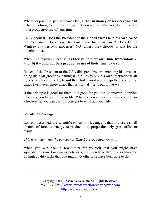Wherever possible, pay someone else , **either in money or services you can offer in return**, to do those things that you would rather not do, or else are not a productive use of your time.

Think about it. Does the President of the United States take his own car to the mechanic? Does Tony Robbins mow his own lawn? Does Oprah Winfrey buy her own groceries? NO (unless they choose to, just for the novelty of it).

# Why? The reason is because **(a) they value their own time tremendously, and (b) it would not be a productive use of their time to do so.**

Indeed, if the President of the USA did spend his time mending his own car, doing his own groceries, calling up airlines to buy his own international air tickets, and so on, the USA **and** the whole world would rapidly descend into chaos (well, even more chaos than is normal – let's put it that way)!

If the principle is good for them, it is good for you too. Moreover, it applies wherever you happen to be in life. Whether you are a corporate executive or a housewife, you can use this concept to win back your life.

# **Scientific Leverage**

Loosely described, the scientific concept of leverage is that you use a small amount of force or energy to produce a disproportionately great effect or result.

*This is exactly what the concept of Time Leverage does for you.*

When you win back a few hours for yourself that you might have squandered doing low quality activities, you then have that time available to do high quality tasks that you might not otherwise have been able to do.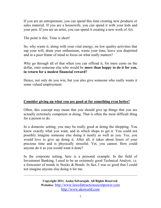If you are an entrepreneur, you can spend this time creating new products or sales material. If you are a housewife, you can spend it with your kids and your pets. If you are an artist, you can spend it creating a new work of Art.

The point is this. Time is short!

So, why waste it, along with your vital energy, on low quality activities that sap your will, drain your enthusiasm, waste your time, leave you dispirited and in a poor frame of mind to focus on what really matters?

Why go through all of that when you can offload it, for mere cents on the dollar, onto someone else who would be **more than happy to do it for you, in return for a modest financial reward?**

Hence, not only do you win, but you also give someone who really wants it some valued employment.

# **Consider giving up what you are good at for something even better!**

Often, this concept may mean that you should give up things that you are actually extremely competent at doing. That is often the most difficult thing for a person to do.

In a domestic setting, you may be really good at doing the shopping. You know exactly what you want, and in which shops to get it. You could not possibly imagine someone else doing it nearly as well as you. Yes, you would love to give up doing it. After all, it takes about hours of your precious time and is physically stressful. Yet, you cannot. How could anyone do it as you would want it done?

In the corporate setting, here is a personal example. In the field of Investment Banking, I used to be an extremely good Technical Analyst, i.e. a forecaster of trends in Stocks & Bonds. In fact, I was so good that I could not imagine anyone else doing it for me.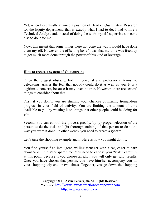Yet, when I eventually attained a position of Head of Quantitative Research for the Equity department, that is exactly what I had to do. I had to hire a Technical Analyst and, instead of doing the work myself, supervise someone else to do it for me.

Now, this meant that some things were not done the way I would have done them myself. However, the offsetting benefit was that my time was freed up to get much more done through the power of this kind of leverage.

## **How to create a system of Outsourcing**

Often the biggest obstacle, both in personal and professional terms, to delegating tasks is the fear that nobody could do it as well as you. It is a legitimate concern, because it may even be true. However, there are several things to consider about that…

First, if you don't, you are stunting your chances of making tremendous progress in your field of activity. You are limiting the amount of time available to you by wasting it on things that other people could be doing for you.

Second, you can control the process greatly, by (a) proper selection of the person to do the task, and (b) thorough training of that person to do it the way you want it done. In other words, you need to create a **system**.

Let's take the shopping example again. Here is how you might do it...

You find yourself an intelligent, willing teenager with a car, eager to earn about \$7-10 in his/her spare time. You need to choose your "staff" carefully at this point, because if you choose an idiot, you will only get idiot results. Once you have chosen that person, you have him/her accompany you on your shopping trip one or two times. Together, you go down the shopping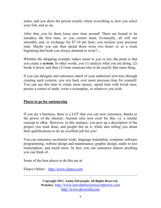aisles, and you show the person exactly where everything is, how you select your fish, and so on.

After that, you let them loose next time around! There are bound to be mistakes the first time, so you correct them. Eventually, all will run smoothly and, in exchange for \$7-10 per hour, you reclaim your precious time. Maybe you can then spend those extra two hours or so a week beginning that book you always planned to write?....

Whether the shopping example makes sense to you or not, the point is that you create a **system**. In other words, you (1) analyze what you are doing, (2) break it down, and then (3) train someone else to do exactly that same thing.

If you can delegate and outsource much of your undesired activities through creating such systems, you win back ever more precious time for yourself. You can use this time to create more money, spend time with loved ones, pursue a course of study, write a screenplay, or whatever you wish.

## **Places to go for outsourcing**

If you are a business, there is a LOT that you can now outsource, thanks to the power of the internet. Auction sites now exist for this, i.e. a similar concept to eBay. However, in this instance, you post up a description of the project you want done, and people bid on it, while also telling you about their qualifications to do an excellent job for you!

You can outsource secretarial work, language translation, computer software programming, website design and maintenance, graphic design, audio to text transcription, and much more. In fact, you can outsource almost anything you can think of.

Some of the best places to do this are at:

Elance Online – [http://www.elance.com](http://www.elance.com/)

**Copyright 2011. Asoka Selvarajah. All Rights Reserved**. **Websites**: [http://www.lawofattractionsecretpower.com](http://www.lawofattractionsecretpower.com/) [http://www.aksworld.com](http://www.aksworld.com/)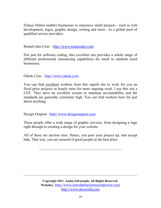Elance Online enables businesses to outsource small projects - such as web development, logos, graphic design, writing and more - to a global pool of qualified service providers.

RentaCoder.Com – [http://www.rentacoder.com](http://www.rentacoder.com/)

Not just for software coding, this excellent site provides a whole range of different professional outsourcing capabilities for small to medium sized businesses.

Odesk.Com – [http://www.odesk.com](http://www.odesk.com/)

You can find excellent workers from this superb site to work for you on fixed price projects or hourly rates for more ongoing work. I use this site a LOT. They have an excellent system to maintain accountability and the standards are generally extremely high. You can find workers here for just about anything.

Design Outpost - <http://www.designoutpost.com/>

These people offer a wide range of graphic services, from designing a logo right through to creating a design for your website.

All of these are auction sites. Hence, you post your project up, and accept bids. That way, you are assured of good people at the best price.

 $\_$  . The contribution of the contribution of  $\mathcal{L}_\mathcal{A}$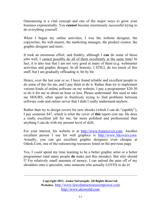Outsourcing is a vital concept and one of the major ways to grow your business exponentially. You **cannot** become enormously successful trying to do everything yourself.

When I began my online activities, I was the website designer, the copywriter, the web master, the marketing manager, the product creator, the graphic designer and more.

It took an enormous effort, and frankly, although I **can** do some of those jobs well, I cannot possibly do all of them excellently at the same time! In fact, it is also true that I am not very good at many of them (e.g. webmaster activities and graphic design). In all honesty, I STILL do too much of this stuff, but I am gradually offloading it, bit by bit.

Hence, over the last year or so, I have found reliable and excellent people to do some of this for me, and I pay them to do it. Rather than try to implement various kinds of online software on my website, I pay a programmer \$20-30 to do it for me in about an hour or less. Please understand: this used to take me HOURS, often spent in fruitlessly trying to find problems between software code and online server that I didn't really understand anyhow.

Rather than try to design covers for new ebooks (which I can do "capably"), I pay someone \$47, which is what the cover of **this** report cost me. He does a really excellent job for me; far more polished and professional than anything I can do with my present level of skill.

For your interest, his website is at [http://www.hypercover.com.](http://www.hypercover.com/) Another excellent person I use for web graphics is [http://www.3dcovers.com.](http://www.3dcovers.com/) Actually, you can get excellent graphic designers even cheaper at Odesk.Com, one of the outsourcing resources listed on the previous page.

Yes, I *could* spend my time learning to be a better graphic artist or a better programmer (and many people **do** make just this mistake). But why should I? For relatively small amounts of money, I can unload the pain off of my shoulders onto a specialist, onto someone who actually LOVES to do it!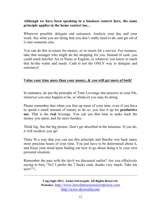## **Although we have been speaking in a business context here, the same principle applies in the home context too…**

Wherever possible, delegate and outsource. Analyze your day and your week. See what you are doing that you don't really need to do, and get rid of it onto someone else.

You can do this in return for money, or in return for a service. For instance, take that teenager who might do the shopping for you. Instead of cash, you could teach him/her Art or Piano or English, or whatever you know to teach that he/she wants and needs. Cash is not the ONLY way to delegate and outsource!

## **Value your time more than your money, & you will get more of both!**

In summary, do put the principle of Time Leverage into practice in your life, wherever you may happen to be, or whatever you may be doing.

Please remember that when you free up more of your time, even if you have to spend a small amount of money to do so, you free it up for **productive use**. That is the **real** leverage. You can use that time to make back the money you spent, and far more besides.

Think big. See the big picture. Don't get absorbed in the minutiae. If you do, it will swallow you up!

There IS a way that you can use this principle and thereby win back many more precious hours of your time. You just have to be determined about it, and focus your mind upon finding out how to go about doing it in your own personal situation.

Remember the pact with the devil we discussed earlier? Are you effectively saying to him, "No! I prefer the 7 bucks cash, thanks very much. Take me now!"?...